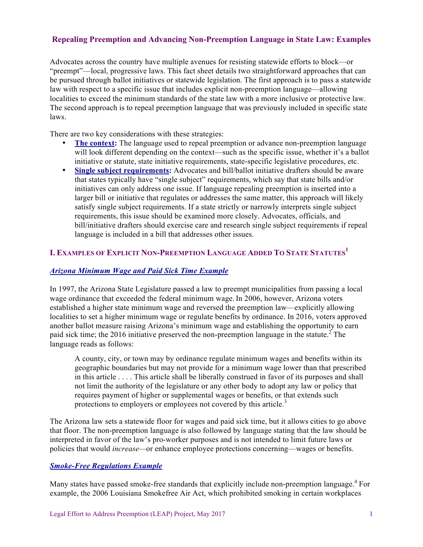## **Repealing Preemption and Advancing Non-Preemption Language in State Law: Examples**

Advocates across the country have multiple avenues for resisting statewide efforts to block—or "preempt"—local, progressive laws. This fact sheet details two straightforward approaches that can be pursued through ballot initiatives or statewide legislation. The first approach is to pass a statewide law with respect to a specific issue that includes explicit non-preemption language—allowing localities to exceed the minimum standards of the state law with a more inclusive or protective law. The second approach is to repeal preemption language that was previously included in specific state laws.

There are two key considerations with these strategies:

- **The context:** The language used to repeal preemption or advance non-preemption language will look different depending on the context—such as the specific issue, whether it's a ballot initiative or statute, state initiative requirements, state-specific legislative procedures, etc.
- **Single subject requirements:** Advocates and bill/ballot initiative drafters should be aware that states typically have "single subject" requirements, which say that state bills and/or initiatives can only address one issue. If language repealing preemption is inserted into a larger bill or initiative that regulates or addresses the same matter, this approach will likely satisfy single subject requirements. If a state strictly or narrowly interprets single subject requirements, this issue should be examined more closely. Advocates, officials, and bill/initiative drafters should exercise care and research single subject requirements if repeal language is included in a bill that addresses other issues.

# **I. EXAMPLES OF EXPLICIT NON-PREEMPTION LANGUAGE ADDED TO STATE STATUTES<sup>1</sup>**

### *Arizona Minimum Wage and Paid Sick Time Example*

In 1997, the Arizona State Legislature passed a law to preempt municipalities from passing a local wage ordinance that exceeded the federal minimum wage. In 2006, however, Arizona voters established a higher state minimum wage and reversed the preemption law—explicitly allowing localities to set a higher minimum wage or regulate benefits by ordinance. In 2016, voters approved another ballot measure raising Arizona's minimum wage and establishing the opportunity to earn paid sick time; the 2016 initiative preserved the non-preemption language in the statute.<sup>2</sup> The language reads as follows:

A county, city, or town may by ordinance regulate minimum wages and benefits within its geographic boundaries but may not provide for a minimum wage lower than that prescribed in this article . . . . This article shall be liberally construed in favor of its purposes and shall not limit the authority of the legislature or any other body to adopt any law or policy that requires payment of higher or supplemental wages or benefits, or that extends such protections to employers or employees not covered by this article.<sup>3</sup>

The Arizona law sets a statewide floor for wages and paid sick time, but it allows cities to go above that floor. The non-preemption language is also followed by language stating that the law should be interpreted in favor of the law's pro-worker purposes and is not intended to limit future laws or policies that would *increase—*or enhance employee protections concerning—wages or benefits.

#### *Smoke-Free Regulations Example*

Many states have passed smoke-free standards that explicitly include non-preemption language.<sup>4</sup> For example, the 2006 Louisiana Smokefree Air Act, which prohibited smoking in certain workplaces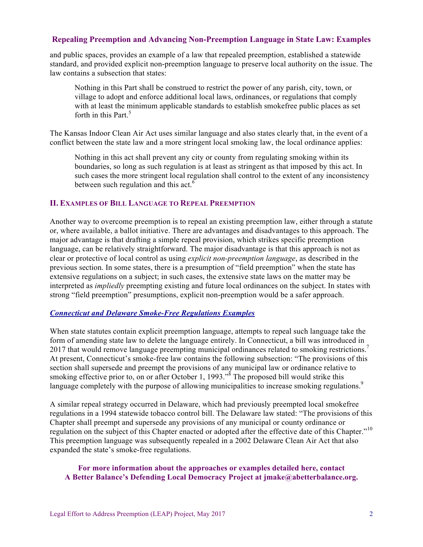### **Repealing Preemption and Advancing Non-Preemption Language in State Law: Examples**

and public spaces, provides an example of a law that repealed preemption, established a statewide standard, and provided explicit non-preemption language to preserve local authority on the issue. The law contains a subsection that states:

Nothing in this Part shall be construed to restrict the power of any parish, city, town, or village to adopt and enforce additional local laws, ordinances, or regulations that comply with at least the minimum applicable standards to establish smokefree public places as set forth in this Part. $5$ 

The Kansas Indoor Clean Air Act uses similar language and also states clearly that, in the event of a conflict between the state law and a more stringent local smoking law, the local ordinance applies:

Nothing in this act shall prevent any city or county from regulating smoking within its boundaries, so long as such regulation is at least as stringent as that imposed by this act. In such cases the more stringent local regulation shall control to the extent of any inconsistency between such regulation and this act. $6$ 

### **II. EXAMPLES OF BILL LANGUAGE TO REPEAL PREEMPTION**

Another way to overcome preemption is to repeal an existing preemption law, either through a statute or, where available, a ballot initiative. There are advantages and disadvantages to this approach. The major advantage is that drafting a simple repeal provision, which strikes specific preemption language, can be relatively straightforward. The major disadvantage is that this approach is not as clear or protective of local control as using *explicit non-preemption language*, as described in the previous section. In some states, there is a presumption of "field preemption" when the state has extensive regulations on a subject; in such cases, the extensive state laws on the matter may be interpreted as *impliedly* preempting existing and future local ordinances on the subject. In states with strong "field preemption" presumptions, explicit non-preemption would be a safer approach.

### *Connecticut and Delaware Smoke-Free Regulations Examples*

When state statutes contain explicit preemption language, attempts to repeal such language take the form of amending state law to delete the language entirely. In Connecticut, a bill was introduced in 2017 that would remove language preempting municipal ordinances related to smoking restrictions.<sup>7</sup> At present, Connecticut's smoke-free law contains the following subsection: "The provisions of this section shall supersede and preempt the provisions of any municipal law or ordinance relative to smoking effective prior to, on or after October 1, 1993."<sup> $\delta$ </sup> The proposed bill would strike this language completely with the purpose of allowing municipalities to increase smoking regulations.<sup>9</sup>

A similar repeal strategy occurred in Delaware, which had previously preempted local smokefree regulations in a 1994 statewide tobacco control bill. The Delaware law stated: "The provisions of this Chapter shall preempt and supersede any provisions of any municipal or county ordinance or regulation on the subject of this Chapter enacted or adopted after the effective date of this Chapter."<sup>10</sup> This preemption language was subsequently repealed in a 2002 Delaware Clean Air Act that also expanded the state's smoke-free regulations.

### **For more information about the approaches or examples detailed here, contact A Better Balance's Defending Local Democracy Project at jmake@abetterbalance.org.**